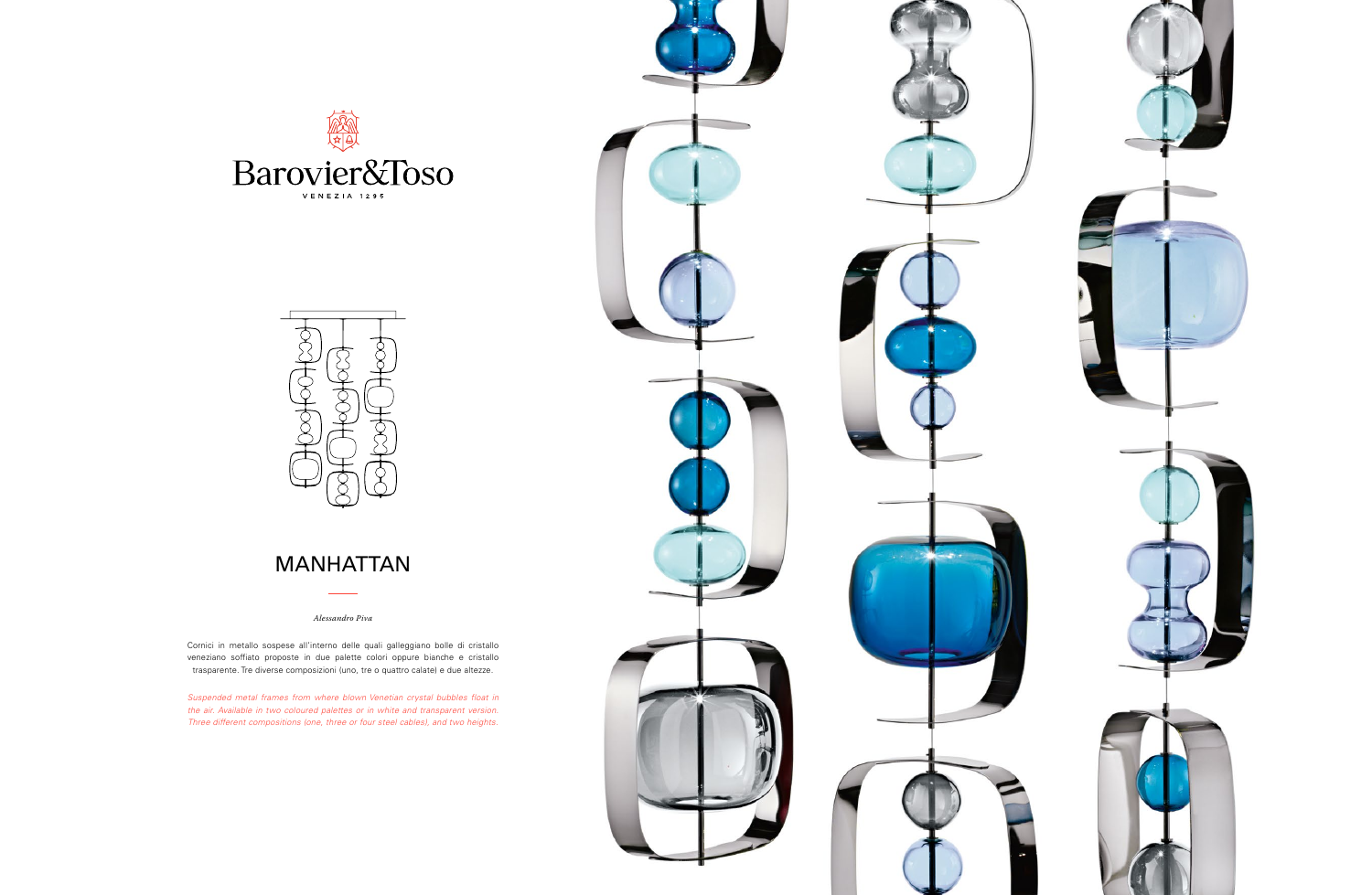



## MANHATTAN

*Alessandro Piva*

Cornici in metallo sospese all'interno delle quali galleggiano bolle di cristallo veneziano soffiato proposte in due palette colori oppure bianche e cristallo trasparente. Tre diverse composizioni (uno, tre o quattro calate) e due altezze.

*Suspended metal frames from where blown Venetian crystal bubbles float in the air. Available in two coloured palettes or in white and transparent version. Three different compositions (one, three or four steel cables), and two heights.*



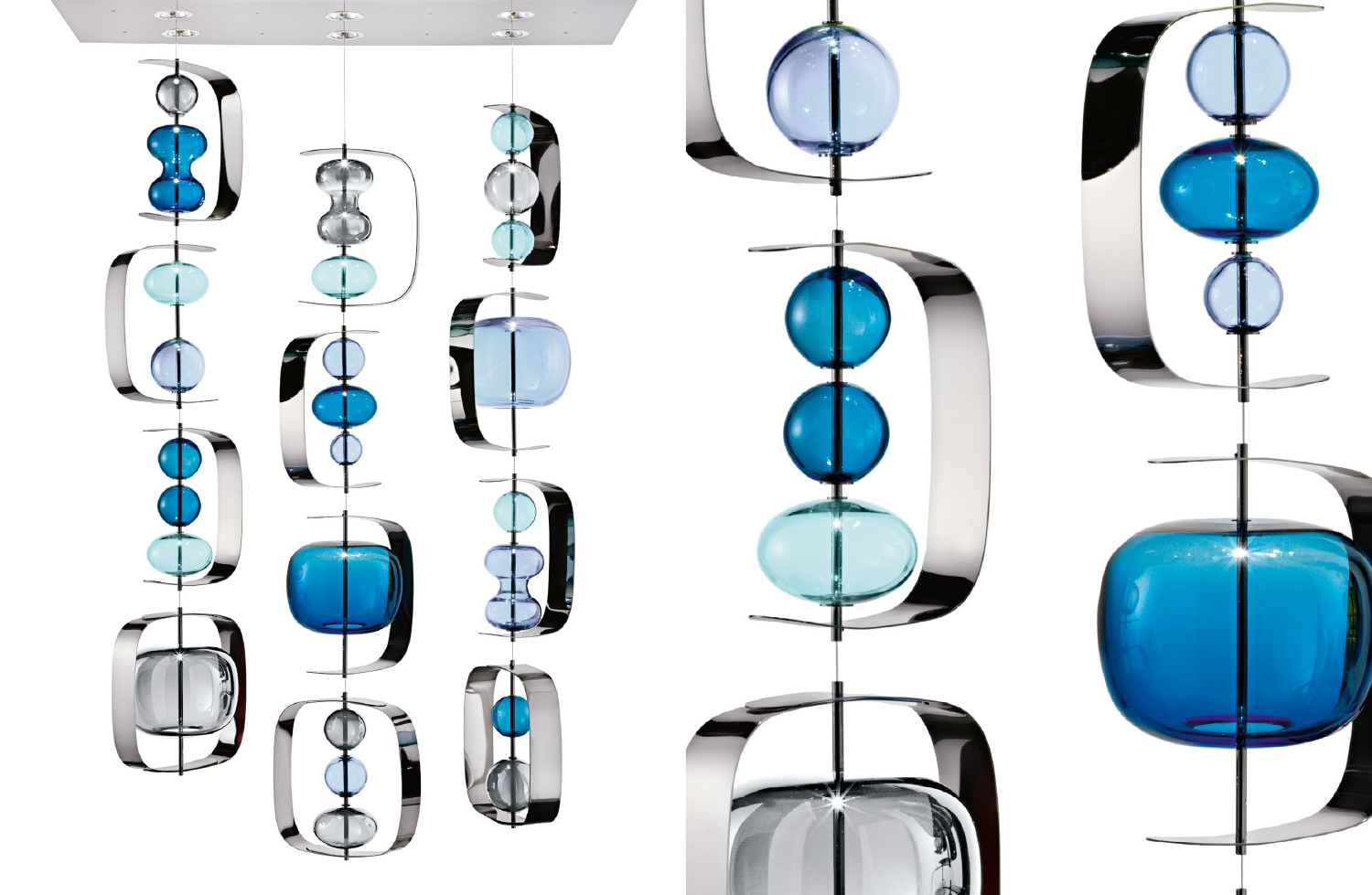

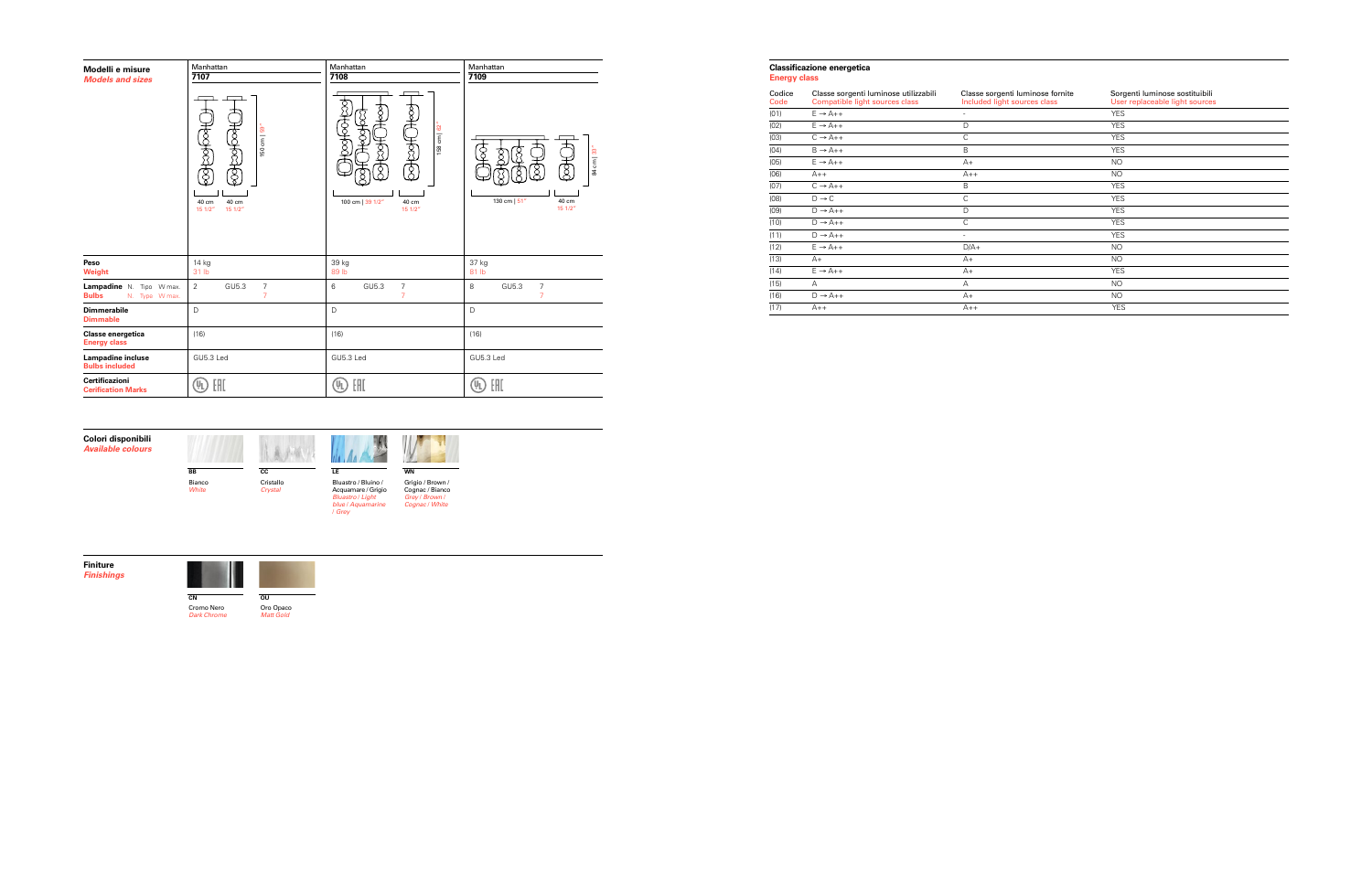| <b>Classificazione energetica</b><br><b>Energy class</b> |                                                                         |                                                                  |                                                                  |  |  |
|----------------------------------------------------------|-------------------------------------------------------------------------|------------------------------------------------------------------|------------------------------------------------------------------|--|--|
| Codice<br>Code                                           | Classe sorgenti luminose utilizzabili<br>Compatible light sources class | Classe sorgenti luminose fornite<br>Included light sources class | Sorgenti luminose sostituibili<br>User replaceable light sources |  |  |
| (01)                                                     | $E \rightarrow A++$                                                     | $\overline{\phantom{a}}$                                         | <b>YES</b>                                                       |  |  |
| (02)                                                     | $E \rightarrow A++$                                                     | D                                                                | <b>YES</b>                                                       |  |  |
| (03)                                                     | $C \rightarrow A++$                                                     | C                                                                | <b>YES</b>                                                       |  |  |
| (04)                                                     | $B \rightarrow A++$                                                     | B                                                                | <b>YES</b>                                                       |  |  |
| (05)                                                     | $E \rightarrow A++$                                                     | $A+$                                                             | <b>NO</b>                                                        |  |  |
| (06)                                                     | $A++$                                                                   | $A++$                                                            | <b>NO</b>                                                        |  |  |
| (07)                                                     | $C \rightarrow A++$                                                     | B                                                                | <b>YES</b>                                                       |  |  |
| (08)                                                     | $D \rightarrow C$                                                       | C                                                                | <b>YES</b>                                                       |  |  |
| (09)                                                     | $D \rightarrow A++$                                                     | D                                                                | <b>YES</b>                                                       |  |  |
| (10)                                                     | $D \rightarrow A++$                                                     | C                                                                | <b>YES</b>                                                       |  |  |
| (11)                                                     | $D \rightarrow A++$                                                     | ٠                                                                | <b>YES</b>                                                       |  |  |
| (12)                                                     | $E \rightarrow A++$                                                     | $D/A+$                                                           | NO.                                                              |  |  |
| (13)                                                     | $A+$                                                                    | $A+$                                                             | <b>NO</b>                                                        |  |  |
| (14)                                                     | $E \rightarrow A++$                                                     | $A+$                                                             | <b>YES</b>                                                       |  |  |
| (15)                                                     | А                                                                       | Α                                                                | <b>NO</b>                                                        |  |  |
| (16)                                                     | $D \rightarrow A++$                                                     | $A+$                                                             | <b>NO</b>                                                        |  |  |
| (17)                                                     | $A++$                                                                   | $A++$                                                            | <b>YES</b>                                                       |  |  |



Bianco *White*



**LE**



 $\frac{1}{2}$ 

÷

| Modelli e misure<br><b>Models and sizes</b>                | Manhattan<br>7107<br>150 cm   59"<br><b>Podpodpo</b><br>ट्र<br>रि<br>Ş<br>40 cm<br>40 cm<br>151/2"<br>151/2" | Manhattan<br>7108<br>8<br>$\frac{8}{5}$<br>158 cm   62"<br>हे<br>ट्र<br>२<br>Ջ<br>100 cm   39 1/2"<br>40 cm<br>151/2" | Manhattan<br>7109<br>84 cm   33"<br>8<br>8<br>130 cm   51"<br>40 cm<br>151/2" |
|------------------------------------------------------------|--------------------------------------------------------------------------------------------------------------|-----------------------------------------------------------------------------------------------------------------------|-------------------------------------------------------------------------------|
| Peso<br>Weight                                             | 14 kg<br>31 lb                                                                                               | 39 kg<br>89 lb                                                                                                        | 37 kg<br>81 lb                                                                |
| Lampadine N. Tipo W max.<br><b>Bulbs</b><br>N. Type W max. | 2<br>GU5.3<br>$\overline{7}$<br>$\overline{7}$                                                               | GU5.3<br>$\overline{7}$<br>6<br>$\overline{7}$                                                                        | 8<br>GU5.3<br>$\overline{7}$<br>$\overline{7}$                                |
| <b>Dimmerabile</b><br><b>Dimmable</b>                      | D                                                                                                            | D                                                                                                                     | D                                                                             |
| <b>Classe energetica</b><br><b>Energy class</b>            | (16)                                                                                                         | (16)                                                                                                                  | (16)                                                                          |
| Lampadine incluse<br><b>Bulbs included</b>                 | GU5.3 Led                                                                                                    | GU5.3 Led                                                                                                             | GU5.3 Led                                                                     |
| Certificazioni<br><b>Cerification Marks</b>                | EAC<br>$(\mathsf{U}_\mathsf{L}$                                                                              | EAD<br>(V <sub>L</sub>                                                                                                | EAT<br>(V <sub>L</sub>                                                        |

**Colori disponibili** *Available colours* 

**Finiture** *Finishings*

**CN**



Oro Opaco *Matt Gold*